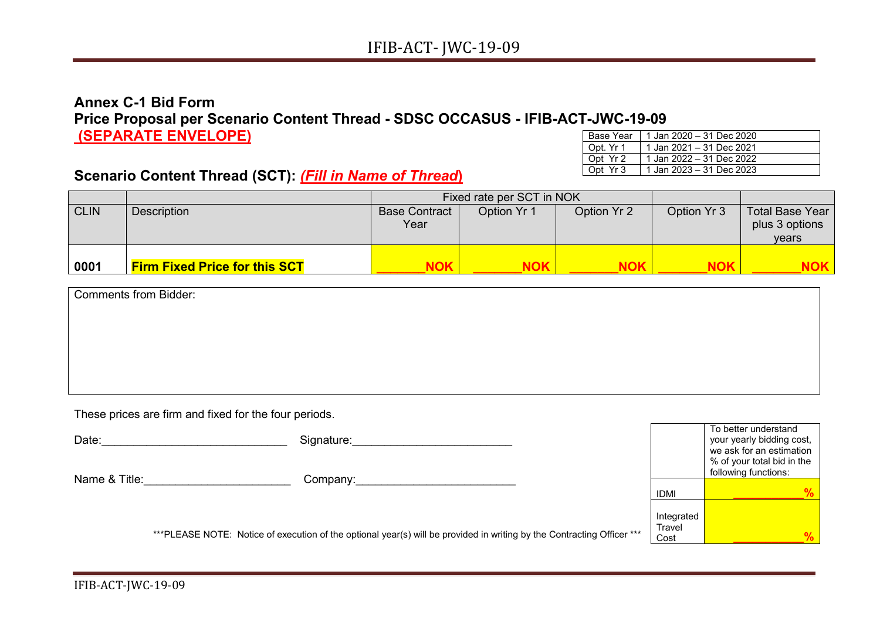## **Annex C-1 Bid Form Price Proposal per Scenario Content Thread - SDSC OCCASUS - IFIB-ACT-JWC-19-09 (SEPARATE ENVELOPE)**

| Base Year           | 1 Jan 2020 - 31 Dec 2020 |
|---------------------|--------------------------|
| Opt. Yr 1           | 1 Jan 2021 - 31 Dec 2021 |
| Opt Yr 2            | 1 Jan 2022 - 31 Dec 2022 |
| Opt Yr <sub>3</sub> | 1 Jan 2023 - 31 Dec 2023 |

## **Scenario Content Thread (SCT):** *(Fill in Name of Thread***)**

|             |                                      | Fixed rate per SCT in NOK |             |             |             |                 |
|-------------|--------------------------------------|---------------------------|-------------|-------------|-------------|-----------------|
| <b>CLIN</b> | Description                          | <b>Base Contract</b>      | Option Yr 1 | Option Yr 2 | Option Yr 3 | Total Base Year |
|             |                                      | Year                      |             |             |             | plus 3 options  |
|             |                                      |                           |             |             |             | vears           |
|             |                                      |                           |             |             |             |                 |
| 0001        | <b>Firm Fixed Price for this SCT</b> |                           |             |             |             |                 |

| Comments from Bidder: |  |  |
|-----------------------|--|--|
|                       |  |  |
|                       |  |  |
|                       |  |  |
|                       |  |  |

These prices are firm and fixed for the four periods.

| Date:         | Signature:                                                                                                             |                              | To better understand<br>your yearly bidding cost,<br>we ask for an estimation |
|---------------|------------------------------------------------------------------------------------------------------------------------|------------------------------|-------------------------------------------------------------------------------|
| Name & Title: | Company:                                                                                                               |                              | % of your total bid in the<br>following functions:                            |
|               |                                                                                                                        | IDMI                         |                                                                               |
|               | ***PLEASE NOTE: Notice of execution of the optional year(s) will be provided in writing by the Contracting Officer *** | Integrated<br>Travel<br>Cost |                                                                               |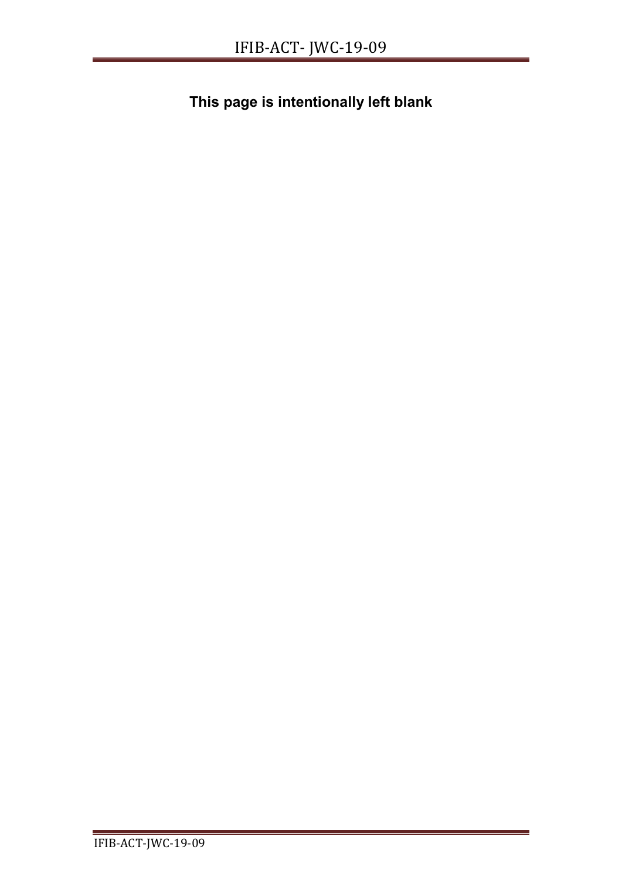**This page is intentionally left blank**